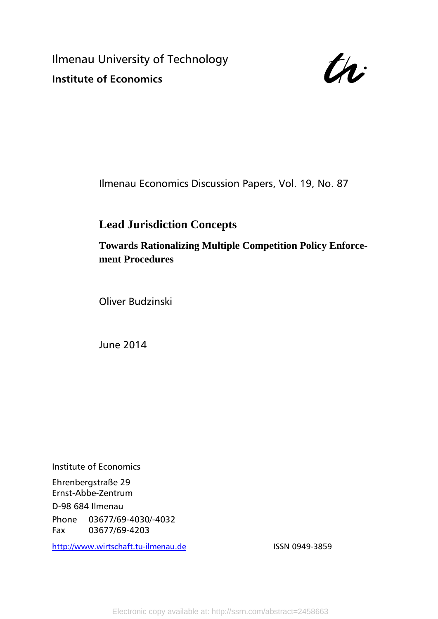thi

Ilmenau Economics Discussion Papers, Vol. 19, No. 87

**\_\_\_\_\_\_\_\_\_\_\_\_\_\_\_\_\_\_\_\_\_\_\_\_\_\_\_\_\_\_\_\_\_\_\_\_\_\_\_\_\_\_\_\_\_\_\_\_\_\_\_\_\_\_\_\_**

# **Lead Jurisdiction Concepts**

# **Towards Rationalizing Multiple Competition Policy Enforcement Procedures**

Oliver Budzinski

June 2014

Institute of Economics

Ehrenbergstraße 29 Ernst-Abbe-Zentrum D-98 684 Ilmenau Phone 03677/69-4030/-4032

Fax 03677/69-4203

[http://www.wirtschaft.tu-ilmenau.de](http://www.wirtschaft.tu-ilmenau.de/) ISSN 0949-3859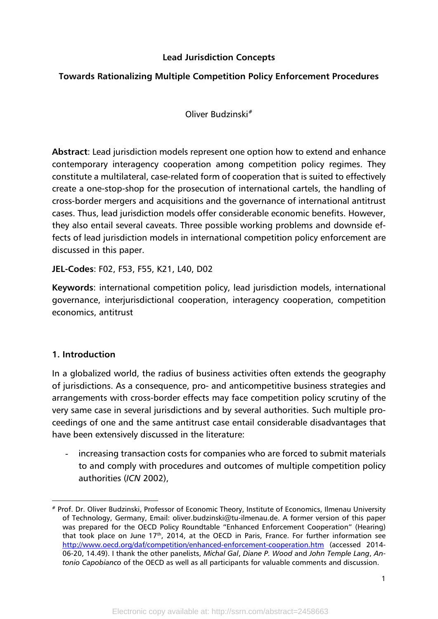#### **Lead Jurisdiction Concepts**

#### **Towards Rationalizing Multiple Competition Policy Enforcement Procedures**

Oliver Budzinski[#](#page-1-0)

**Abstract**: Lead jurisdiction models represent one option how to extend and enhance contemporary interagency cooperation among competition policy regimes. They constitute a multilateral, case-related form of cooperation that is suited to effectively create a one-stop-shop for the prosecution of international cartels, the handling of cross-border mergers and acquisitions and the governance of international antitrust cases. Thus, lead jurisdiction models offer considerable economic benefits. However, they also entail several caveats. Three possible working problems and downside effects of lead jurisdiction models in international competition policy enforcement are discussed in this paper.

**JEL-Codes**: F02, F53, F55, K21, L40, D02

**Keywords**: international competition policy, lead jurisdiction models, international governance, interjurisdictional cooperation, interagency cooperation, competition economics, antitrust

#### **1. Introduction**

 $\overline{a}$ 

In a globalized world, the radius of business activities often extends the geography of jurisdictions. As a consequence, pro- and anticompetitive business strategies and arrangements with cross-border effects may face competition policy scrutiny of the very same case in several jurisdictions and by several authorities. Such multiple proceedings of one and the same antitrust case entail considerable disadvantages that have been extensively discussed in the literature:

increasing transaction costs for companies who are forced to submit materials to and comply with procedures and outcomes of multiple competition policy authorities (*ICN* 2002),

<span id="page-1-0"></span><sup>#</sup> Prof. Dr. Oliver Budzinski, Professor of Economic Theory, Institute of Economics, Ilmenau University of Technology, Germany, Email: oliver.budzinski@tu-ilmenau.de. A former version of this paper was prepared for the OECD Policy Roundtable "Enhanced Enforcement Cooperation" (Hearing) that took place on June 17<sup>th</sup>, 2014, at the OECD in Paris, France. For further information see <http://www.oecd.org/daf/competition/enhanced-enforcement-cooperation.htm> (accessed 2014- 06-20, 14.49). I thank the other panelists, *Michal Gal*, *Diane P. Wood* and *John Temple Lang*, *Antonio Capobianco* of the OECD as well as all participants for valuable comments and discussion.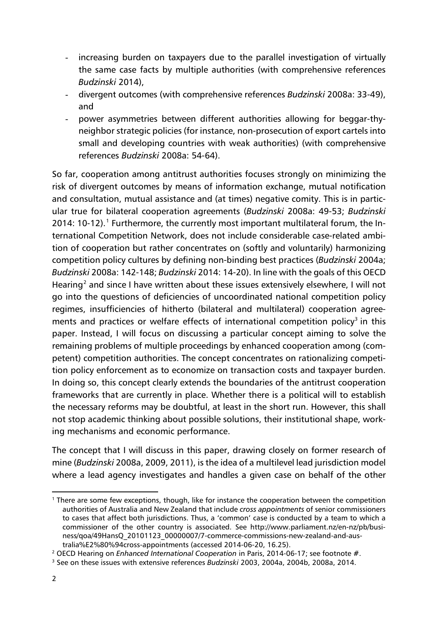- increasing burden on taxpayers due to the parallel investigation of virtually the same case facts by multiple authorities (with comprehensive references *Budzinski* 2014),
- divergent outcomes (with comprehensive references *Budzinski* 2008a: 33-49), and
- power asymmetries between different authorities allowing for beggar-thyneighbor strategic policies (for instance, non-prosecution of export cartels into small and developing countries with weak authorities) (with comprehensive references *Budzinski* 2008a: 54-64).

So far, cooperation among antitrust authorities focuses strongly on minimizing the risk of divergent outcomes by means of information exchange, mutual notification and consultation, mutual assistance and (at times) negative comity. This is in particular true for bilateral cooperation agreements (*Budzinski* 2008a: 49-53; *Budzinski* 20[1](#page-2-0)4: 10-12).<sup>1</sup> Furthermore, the currently most important multilateral forum, the International Competition Network, does not include considerable case-related ambition of cooperation but rather concentrates on (softly and voluntarily) harmonizing competition policy cultures by defining non-binding best practices (*Budzinski* 2004a; *Budzinski* 2008a: 142-148; *Budzinski* 2014: 14-20). In line with the goals of this OECD Hearing<sup>[2](#page-2-1)</sup> and since I have written about these issues extensively elsewhere, I will not go into the questions of deficiencies of uncoordinated national competition policy regimes, insufficiencies of hitherto (bilateral and multilateral) cooperation agree-ments and practices or welfare effects of international competition policy<sup>[3](#page-2-2)</sup> in this paper. Instead, I will focus on discussing a particular concept aiming to solve the remaining problems of multiple proceedings by enhanced cooperation among (competent) competition authorities. The concept concentrates on rationalizing competition policy enforcement as to economize on transaction costs and taxpayer burden. In doing so, this concept clearly extends the boundaries of the antitrust cooperation frameworks that are currently in place. Whether there is a political will to establish the necessary reforms may be doubtful, at least in the short run. However, this shall not stop academic thinking about possible solutions, their institutional shape, working mechanisms and economic performance.

The concept that I will discuss in this paper, drawing closely on former research of mine (*Budzinski* 2008a, 2009, 2011), is the idea of a multilevel lead jurisdiction model where a lead agency investigates and handles a given case on behalf of the other

 $\overline{a}$ 

<span id="page-2-0"></span><sup>&</sup>lt;sup>1</sup> There are some few exceptions, though, like for instance the cooperation between the competition authorities of Australia and New Zealand that include *cross appointments* of senior commissioners to cases that affect both jurisdictions. Thus, a 'common' case is conducted by a team to which a commissioner of the other country is associated. See http://www.parliament.nz/en-nz/pb/business/qoa/49HansQ\_20101123\_00000007/7-commerce-commissions-new-zealand-and-australia%E2%80%94cross-appointments (accessed 2014-06-20, 16.25).

<span id="page-2-1"></span><sup>2</sup> OECD Hearing on *Enhanced International Cooperation* in Paris, 2014-06-17; see footnote #.

<span id="page-2-2"></span><sup>3</sup> See on these issues with extensive references *Budzinski* 2003, 2004a, 2004b, 2008a, 2014.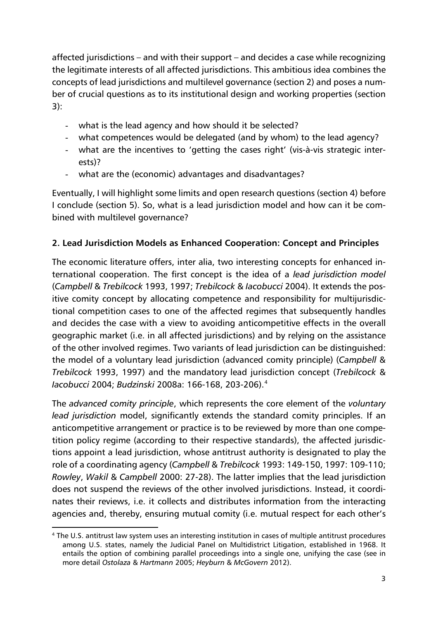affected jurisdictions – and with their support – and decides a case while recognizing the legitimate interests of all affected jurisdictions. This ambitious idea combines the concepts of lead jurisdictions and multilevel governance (section 2) and poses a number of crucial questions as to its institutional design and working properties (section 3):

- what is the lead agency and how should it be selected?
- what competences would be delegated (and by whom) to the lead agency?
- what are the incentives to 'getting the cases right' (vis-à-vis strategic interests)?
- what are the (economic) advantages and disadvantages?

Eventually, I will highlight some limits and open research questions (section 4) before I conclude (section 5). So, what is a lead jurisdiction model and how can it be combined with multilevel governance?

# **2. Lead Jurisdiction Models as Enhanced Cooperation: Concept and Principles**

The economic literature offers, inter alia, two interesting concepts for enhanced international cooperation. The first concept is the idea of a *lead jurisdiction model* (*Campbell* & *Trebilcock* 1993, 1997; *Trebilcock* & *Iacobucci* 2004). It extends the positive comity concept by allocating competence and responsibility for multijurisdictional competition cases to one of the affected regimes that subsequently handles and decides the case with a view to avoiding anticompetitive effects in the overall geographic market (i.e. in all affected jurisdictions) and by relying on the assistance of the other involved regimes. Two variants of lead jurisdiction can be distinguished: the model of a voluntary lead jurisdiction (advanced comity principle) (*Campbell* & *Trebilcock* 1993, 1997) and the mandatory lead jurisdiction concept (*Trebilcock* & *Iacobucci* 2004; *Budzinski* 2008a: 166-168, 203-206).[4](#page-3-0)

The *advanced comity principle*, which represents the core element of the *voluntary lead jurisdiction* model, significantly extends the standard comity principles. If an anticompetitive arrangement or practice is to be reviewed by more than one competition policy regime (according to their respective standards), the affected jurisdictions appoint a lead jurisdiction, whose antitrust authority is designated to play the role of a coordinating agency (*Campbell* & *Trebilcock* 1993: 149-150, 1997: 109-110; *Rowley*, *Wakil* & *Campbell* 2000: 27-28). The latter implies that the lead jurisdiction does not suspend the reviews of the other involved jurisdictions. Instead, it coordinates their reviews, i.e. it collects and distributes information from the interacting agencies and, thereby, ensuring mutual comity (i.e. mutual respect for each other's

<span id="page-3-0"></span><sup>4</sup> The U.S. antitrust law system uses an interesting institution in cases of multiple antitrust procedures among U.S. states, namely the Judicial Panel on Multidistrict Litigation, established in 1968. It entails the option of combining parallel proceedings into a single one, unifying the case (see in more detail *Ostolaza* & *Hartmann* 2005; *Heyburn* & *McGovern* 2012).  $\overline{a}$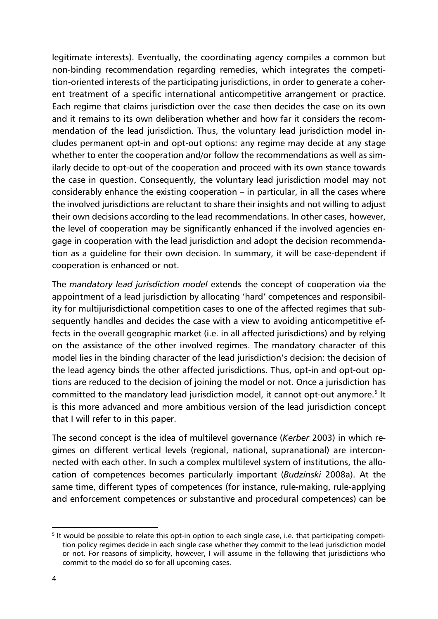legitimate interests). Eventually, the coordinating agency compiles a common but non-binding recommendation regarding remedies, which integrates the competition-oriented interests of the participating jurisdictions, in order to generate a coherent treatment of a specific international anticompetitive arrangement or practice. Each regime that claims jurisdiction over the case then decides the case on its own and it remains to its own deliberation whether and how far it considers the recommendation of the lead jurisdiction. Thus, the voluntary lead jurisdiction model includes permanent opt-in and opt-out options: any regime may decide at any stage whether to enter the cooperation and/or follow the recommendations as well as similarly decide to opt-out of the cooperation and proceed with its own stance towards the case in question. Consequently, the voluntary lead jurisdiction model may not considerably enhance the existing cooperation – in particular, in all the cases where the involved jurisdictions are reluctant to share their insights and not willing to adjust their own decisions according to the lead recommendations. In other cases, however, the level of cooperation may be significantly enhanced if the involved agencies engage in cooperation with the lead jurisdiction and adopt the decision recommendation as a guideline for their own decision. In summary, it will be case-dependent if cooperation is enhanced or not.

The *mandatory lead jurisdiction model* extends the concept of cooperation via the appointment of a lead jurisdiction by allocating 'hard' competences and responsibility for multijurisdictional competition cases to one of the affected regimes that subsequently handles and decides the case with a view to avoiding anticompetitive effects in the overall geographic market (i.e. in all affected jurisdictions) and by relying on the assistance of the other involved regimes. The mandatory character of this model lies in the binding character of the lead jurisdiction's decision: the decision of the lead agency binds the other affected jurisdictions. Thus, opt-in and opt-out options are reduced to the decision of joining the model or not. Once a jurisdiction has committed to the mandatory lead jurisdiction model, it cannot opt-out anymore.<sup>[5](#page-4-0)</sup> It is this more advanced and more ambitious version of the lead jurisdiction concept that I will refer to in this paper.

The second concept is the idea of multilevel governance (*Kerber* 2003) in which regimes on different vertical levels (regional, national, supranational) are interconnected with each other. In such a complex multilevel system of institutions, the allocation of competences becomes particularly important (*Budzinski* 2008a). At the same time, different types of competences (for instance, rule-making, rule-applying and enforcement competences or substantive and procedural competences) can be

<span id="page-4-0"></span><sup>&</sup>lt;sup>5</sup> It would be possible to relate this opt-in option to each single case, i.e. that participating competition policy regimes decide in each single case whether they commit to the lead jurisdiction model or not. For reasons of simplicity, however, I will assume in the following that jurisdictions who commit to the model do so for all upcoming cases.  $\overline{a}$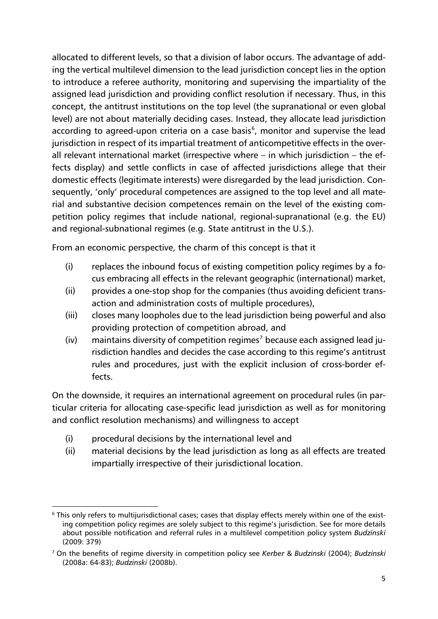allocated to different levels, so that a division of labor occurs. The advantage of adding the vertical multilevel dimension to the lead jurisdiction concept lies in the option to introduce a referee authority, monitoring and supervising the impartiality of the assigned lead jurisdiction and providing conflict resolution if necessary. Thus, in this concept, the antitrust institutions on the top level (the supranational or even global level) are not about materially deciding cases. Instead, they allocate lead jurisdiction according to agreed-upon criteria on a case basis<sup>[6](#page-5-0)</sup>, monitor and supervise the lead jurisdiction in respect of its impartial treatment of anticompetitive effects in the overall relevant international market (irrespective where – in which jurisdiction – the effects display) and settle conflicts in case of affected jurisdictions allege that their domestic effects (legitimate interests) were disregarded by the lead jurisdiction. Consequently, 'only' procedural competences are assigned to the top level and all material and substantive decision competences remain on the level of the existing competition policy regimes that include national, regional-supranational (e.g. the EU) and regional-subnational regimes (e.g. State antitrust in the U.S.).

From an economic perspective, the charm of this concept is that it

- (i) replaces the inbound focus of existing competition policy regimes by a focus embracing all effects in the relevant geographic (international) market,
- (ii) provides a one-stop shop for the companies (thus avoiding deficient transaction and administration costs of multiple procedures),
- (iii) closes many loopholes due to the lead jurisdiction being powerful and also providing protection of competition abroad, and
- (iv) maintains diversity of competition regimes<sup>[7](#page-5-1)</sup> because each assigned lead jurisdiction handles and decides the case according to this regime's antitrust rules and procedures, just with the explicit inclusion of cross-border effects.

On the downside, it requires an international agreement on procedural rules (in particular criteria for allocating case-specific lead jurisdiction as well as for monitoring and conflict resolution mechanisms) and willingness to accept

- (i) procedural decisions by the international level and
- (ii) material decisions by the lead jurisdiction as long as all effects are treated impartially irrespective of their jurisdictional location.

<span id="page-5-0"></span><sup>&</sup>lt;sup>6</sup> This only refers to multijurisdictional cases; cases that display effects merely within one of the existing competition policy regimes are solely subject to this regime's jurisdiction. See for more details about possible notification and referral rules in a multilevel competition policy system *Budzinski* (2009: 379)  $\overline{a}$ 

<span id="page-5-1"></span><sup>7</sup> On the benefits of regime diversity in competition policy see *Kerber* & *Budzinski* (2004); *Budzinski* (2008a: 64-83); *Budzinski* (2008b).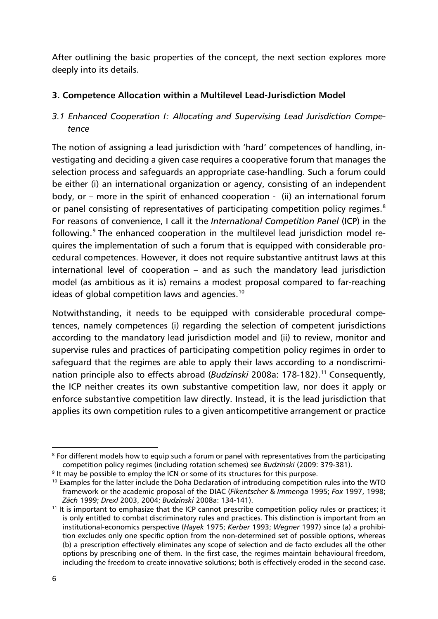After outlining the basic properties of the concept, the next section explores more deeply into its details.

# **3. Competence Allocation within a Multilevel Lead-Jurisdiction Model**

# *3.1 Enhanced Cooperation I: Allocating and Supervising Lead Jurisdiction Competence*

The notion of assigning a lead jurisdiction with 'hard' competences of handling, investigating and deciding a given case requires a cooperative forum that manages the selection process and safeguards an appropriate case-handling. Such a forum could be either (i) an international organization or agency, consisting of an independent body, or – more in the spirit of enhanced cooperation - (ii) an international forum or panel consisting of representatives of participating competition policy regimes.<sup>[8](#page-6-0)</sup> For reasons of convenience, I call it the *International Competition Panel* (ICP) in the following.[9](#page-6-1) The enhanced cooperation in the multilevel lead jurisdiction model requires the implementation of such a forum that is equipped with considerable procedural competences. However, it does not require substantive antitrust laws at this international level of cooperation – and as such the mandatory lead jurisdiction model (as ambitious as it is) remains a modest proposal compared to far-reaching ideas of global competition laws and agencies.<sup>[10](#page-6-2)</sup>

Notwithstanding, it needs to be equipped with considerable procedural competences, namely competences (i) regarding the selection of competent jurisdictions according to the mandatory lead jurisdiction model and (ii) to review, monitor and supervise rules and practices of participating competition policy regimes in order to safeguard that the regimes are able to apply their laws according to a nondiscrimination principle also to effects abroad (*Budzinski* 2008a: 178-182).[11](#page-6-3) Consequently, the ICP neither creates its own substantive competition law, nor does it apply or enforce substantive competition law directly. Instead, it is the lead jurisdiction that applies its own competition rules to a given anticompetitive arrangement or practice

<span id="page-6-0"></span><sup>&</sup>lt;sup>8</sup> For different models how to equip such a forum or panel with representatives from the participating competition policy regimes (including rotation schemes) see *Budzinski* (2009: 379-381).  $\overline{a}$ 

<span id="page-6-1"></span><sup>9</sup> It may be possible to employ the ICN or some of its structures for this purpose.

<span id="page-6-2"></span><sup>&</sup>lt;sup>10</sup> Examples for the latter include the Doha Declaration of introducing competition rules into the WTO framework or the academic proposal of the DIAC (*Fikentscher* & *Immenga* 1995; *Fox* 1997, 1998; *Zäch* 1999; *Drexl* 2003, 2004; *Budzinski* 2008a: 134-141).

<span id="page-6-3"></span><sup>&</sup>lt;sup>11</sup> It is important to emphasize that the ICP cannot prescribe competition policy rules or practices; it is only entitled to combat discriminatory rules and practices. This distinction is important from an institutional-economics perspective (*Hayek* 1975; *Kerber* 1993; *Wegner* 1997) since (a) a prohibition excludes only one specific option from the non-determined set of possible options, whereas (b) a prescription effectively eliminates any scope of selection and de facto excludes all the other options by prescribing one of them. In the first case, the regimes maintain behavioural freedom, including the freedom to create innovative solutions; both is effectively eroded in the second case.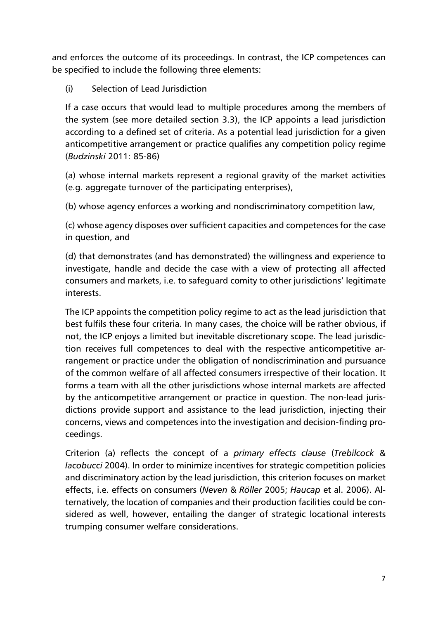and enforces the outcome of its proceedings. In contrast, the ICP competences can be specified to include the following three elements:

(i) Selection of Lead Jurisdiction

If a case occurs that would lead to multiple procedures among the members of the system (see more detailed section 3.3), the ICP appoints a lead jurisdiction according to a defined set of criteria. As a potential lead jurisdiction for a given anticompetitive arrangement or practice qualifies any competition policy regime (*Budzinski* 2011: 85-86)

(a) whose internal markets represent a regional gravity of the market activities (e.g. aggregate turnover of the participating enterprises),

(b) whose agency enforces a working and nondiscriminatory competition law,

(c) whose agency disposes over sufficient capacities and competences for the case in question, and

(d) that demonstrates (and has demonstrated) the willingness and experience to investigate, handle and decide the case with a view of protecting all affected consumers and markets, i.e. to safeguard comity to other jurisdictions' legitimate interests.

The ICP appoints the competition policy regime to act as the lead jurisdiction that best fulfils these four criteria. In many cases, the choice will be rather obvious, if not, the ICP enjoys a limited but inevitable discretionary scope. The lead jurisdiction receives full competences to deal with the respective anticompetitive arrangement or practice under the obligation of nondiscrimination and pursuance of the common welfare of all affected consumers irrespective of their location. It forms a team with all the other jurisdictions whose internal markets are affected by the anticompetitive arrangement or practice in question. The non-lead jurisdictions provide support and assistance to the lead jurisdiction, injecting their concerns, views and competences into the investigation and decision-finding proceedings.

Criterion (a) reflects the concept of a *primary effects clause* (*Trebilcock* & *Iacobucci* 2004). In order to minimize incentives for strategic competition policies and discriminatory action by the lead jurisdiction, this criterion focuses on market effects, i.e. effects on consumers (*Neven* & *Röller* 2005; *Haucap* et al. 2006). Alternatively, the location of companies and their production facilities could be considered as well, however, entailing the danger of strategic locational interests trumping consumer welfare considerations.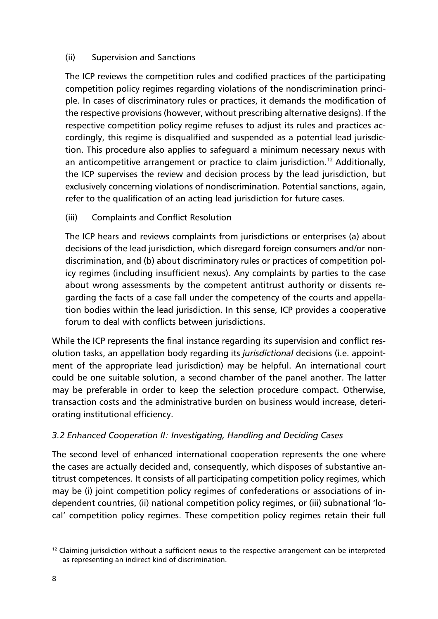#### (ii) Supervision and Sanctions

The ICP reviews the competition rules and codified practices of the participating competition policy regimes regarding violations of the nondiscrimination principle. In cases of discriminatory rules or practices, it demands the modification of the respective provisions (however, without prescribing alternative designs). If the respective competition policy regime refuses to adjust its rules and practices accordingly, this regime is disqualified and suspended as a potential lead jurisdiction. This procedure also applies to safeguard a minimum necessary nexus with an anticompetitive arrangement or practice to claim jurisdiction.<sup>[12](#page-8-0)</sup> Additionally, the ICP supervises the review and decision process by the lead jurisdiction, but exclusively concerning violations of nondiscrimination. Potential sanctions, again, refer to the qualification of an acting lead jurisdiction for future cases.

# (iii) Complaints and Conflict Resolution

The ICP hears and reviews complaints from jurisdictions or enterprises (a) about decisions of the lead jurisdiction, which disregard foreign consumers and/or nondiscrimination, and (b) about discriminatory rules or practices of competition policy regimes (including insufficient nexus). Any complaints by parties to the case about wrong assessments by the competent antitrust authority or dissents regarding the facts of a case fall under the competency of the courts and appellation bodies within the lead jurisdiction. In this sense, ICP provides a cooperative forum to deal with conflicts between jurisdictions.

While the ICP represents the final instance regarding its supervision and conflict resolution tasks, an appellation body regarding its *jurisdictional* decisions (i.e. appointment of the appropriate lead jurisdiction) may be helpful. An international court could be one suitable solution, a second chamber of the panel another. The latter may be preferable in order to keep the selection procedure compact. Otherwise, transaction costs and the administrative burden on business would increase, deteriorating institutional efficiency.

# *3.2 Enhanced Cooperation II: Investigating, Handling and Deciding Cases*

The second level of enhanced international cooperation represents the one where the cases are actually decided and, consequently, which disposes of substantive antitrust competences. It consists of all participating competition policy regimes, which may be (i) joint competition policy regimes of confederations or associations of independent countries, (ii) national competition policy regimes, or (iii) subnational 'local' competition policy regimes. These competition policy regimes retain their full

<span id="page-8-0"></span> $12$  Claiming jurisdiction without a sufficient nexus to the respective arrangement can be interpreted as representing an indirect kind of discrimination.  $\overline{a}$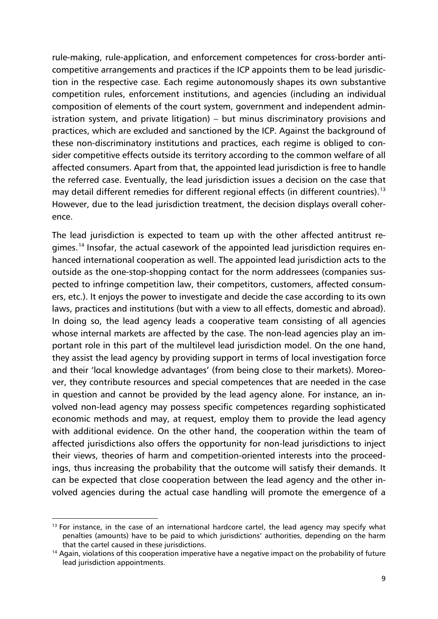rule-making, rule-application, and enforcement competences for cross-border anticompetitive arrangements and practices if the ICP appoints them to be lead jurisdiction in the respective case. Each regime autonomously shapes its own substantive competition rules, enforcement institutions, and agencies (including an individual composition of elements of the court system, government and independent administration system, and private litigation) – but minus discriminatory provisions and practices, which are excluded and sanctioned by the ICP. Against the background of these non-discriminatory institutions and practices, each regime is obliged to consider competitive effects outside its territory according to the common welfare of all affected consumers. Apart from that, the appointed lead jurisdiction is free to handle the referred case. Eventually, the lead jurisdiction issues a decision on the case that may detail different remedies for different regional effects (in different countries).<sup>[13](#page-9-0)</sup> However, due to the lead jurisdiction treatment, the decision displays overall coherence.

The lead jurisdiction is expected to team up with the other affected antitrust regimes.[14](#page-9-1) Insofar, the actual casework of the appointed lead jurisdiction requires enhanced international cooperation as well. The appointed lead jurisdiction acts to the outside as the one-stop-shopping contact for the norm addressees (companies suspected to infringe competition law, their competitors, customers, affected consumers, etc.). It enjoys the power to investigate and decide the case according to its own laws, practices and institutions (but with a view to all effects, domestic and abroad). In doing so, the lead agency leads a cooperative team consisting of all agencies whose internal markets are affected by the case. The non-lead agencies play an important role in this part of the multilevel lead jurisdiction model. On the one hand, they assist the lead agency by providing support in terms of local investigation force and their 'local knowledge advantages' (from being close to their markets). Moreover, they contribute resources and special competences that are needed in the case in question and cannot be provided by the lead agency alone. For instance, an involved non-lead agency may possess specific competences regarding sophisticated economic methods and may, at request, employ them to provide the lead agency with additional evidence. On the other hand, the cooperation within the team of affected jurisdictions also offers the opportunity for non-lead jurisdictions to inject their views, theories of harm and competition-oriented interests into the proceedings, thus increasing the probability that the outcome will satisfy their demands. It can be expected that close cooperation between the lead agency and the other involved agencies during the actual case handling will promote the emergence of a

<span id="page-9-0"></span> $13$  For instance, in the case of an international hardcore cartel, the lead agency may specify what penalties (amounts) have to be paid to which jurisdictions' authorities, depending on the harm that the cartel caused in these jurisdictions.  $\overline{a}$ 

<span id="page-9-1"></span><sup>&</sup>lt;sup>14</sup> Again, violations of this cooperation imperative have a negative impact on the probability of future lead jurisdiction appointments.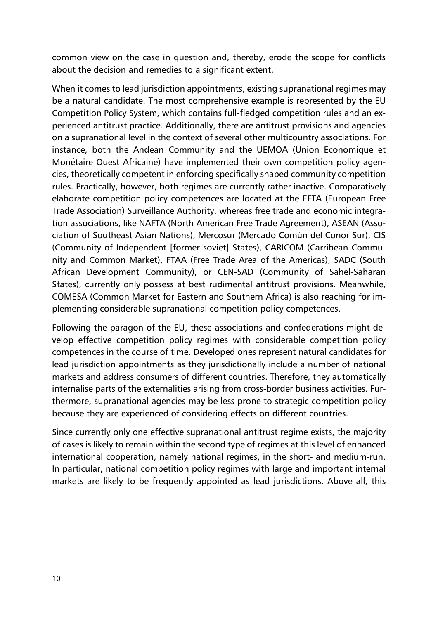common view on the case in question and, thereby, erode the scope for conflicts about the decision and remedies to a significant extent.

When it comes to lead jurisdiction appointments, existing supranational regimes may be a natural candidate. The most comprehensive example is represented by the EU Competition Policy System, which contains full-fledged competition rules and an experienced antitrust practice. Additionally, there are antitrust provisions and agencies on a supranational level in the context of several other multicountry associations. For instance, both the Andean Community and the UEMOA (Union Economique et Monétaire Ouest Africaine) have implemented their own competition policy agencies, theoretically competent in enforcing specifically shaped community competition rules. Practically, however, both regimes are currently rather inactive. Comparatively elaborate competition policy competences are located at the EFTA (European Free Trade Association) Surveillance Authority, whereas free trade and economic integration associations, like NAFTA (North American Free Trade Agreement), ASEAN (Association of Southeast Asian Nations), Mercosur (Mercado Común del Conor Sur), CIS (Community of Independent [former soviet] States), CARICOM (Carribean Community and Common Market), FTAA (Free Trade Area of the Americas), SADC (South African Development Community), or CEN-SAD (Community of Sahel-Saharan States), currently only possess at best rudimental antitrust provisions. Meanwhile, COMESA (Common Market for Eastern and Southern Africa) is also reaching for implementing considerable supranational competition policy competences.

Following the paragon of the EU, these associations and confederations might develop effective competition policy regimes with considerable competition policy competences in the course of time. Developed ones represent natural candidates for lead jurisdiction appointments as they jurisdictionally include a number of national markets and address consumers of different countries. Therefore, they automatically internalise parts of the externalities arising from cross-border business activities. Furthermore, supranational agencies may be less prone to strategic competition policy because they are experienced of considering effects on different countries.

Since currently only one effective supranational antitrust regime exists, the majority of cases is likely to remain within the second type of regimes at this level of enhanced international cooperation, namely national regimes, in the short- and medium-run. In particular, national competition policy regimes with large and important internal markets are likely to be frequently appointed as lead jurisdictions. Above all, this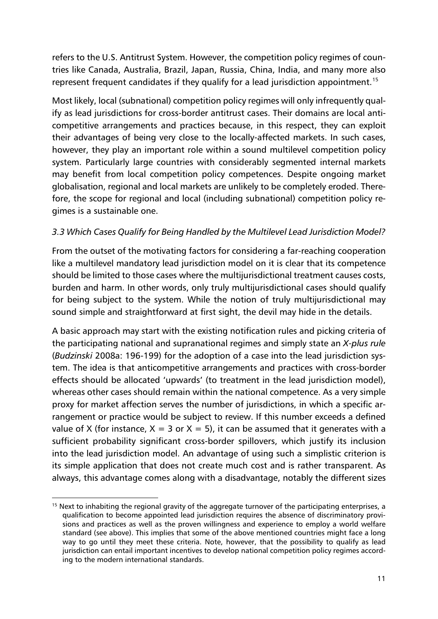refers to the U.S. Antitrust System. However, the competition policy regimes of countries like Canada, Australia, Brazil, Japan, Russia, China, India, and many more also represent frequent candidates if they qualify for a lead jurisdiction appointment.<sup>[15](#page-11-0)</sup>

Most likely, local (subnational) competition policy regimes will only infrequently qualify as lead jurisdictions for cross-border antitrust cases. Their domains are local anticompetitive arrangements and practices because, in this respect, they can exploit their advantages of being very close to the locally-affected markets. In such cases, however, they play an important role within a sound multilevel competition policy system. Particularly large countries with considerably segmented internal markets may benefit from local competition policy competences. Despite ongoing market globalisation, regional and local markets are unlikely to be completely eroded. Therefore, the scope for regional and local (including subnational) competition policy regimes is a sustainable one.

#### *3.3 Which Cases Qualify for Being Handled by the Multilevel Lead Jurisdiction Model?*

From the outset of the motivating factors for considering a far-reaching cooperation like a multilevel mandatory lead jurisdiction model on it is clear that its competence should be limited to those cases where the multijurisdictional treatment causes costs, burden and harm. In other words, only truly multijurisdictional cases should qualify for being subject to the system. While the notion of truly multijurisdictional may sound simple and straightforward at first sight, the devil may hide in the details.

A basic approach may start with the existing notification rules and picking criteria of the participating national and supranational regimes and simply state an *X-plus rule* (*Budzinski* 2008a: 196-199) for the adoption of a case into the lead jurisdiction system. The idea is that anticompetitive arrangements and practices with cross-border effects should be allocated 'upwards' (to treatment in the lead jurisdiction model), whereas other cases should remain within the national competence. As a very simple proxy for market affection serves the number of jurisdictions, in which a specific arrangement or practice would be subject to review. If this number exceeds a defined value of X (for instance,  $X = 3$  or  $X = 5$ ), it can be assumed that it generates with a sufficient probability significant cross-border spillovers, which justify its inclusion into the lead jurisdiction model. An advantage of using such a simplistic criterion is its simple application that does not create much cost and is rather transparent. As always, this advantage comes along with a disadvantage, notably the different sizes

<span id="page-11-0"></span><sup>&</sup>lt;sup>15</sup> Next to inhabiting the regional gravity of the aggregate turnover of the participating enterprises, a qualification to become appointed lead jurisdiction requires the absence of discriminatory provisions and practices as well as the proven willingness and experience to employ a world welfare standard (see above). This implies that some of the above mentioned countries might face a long way to go until they meet these criteria. Note, however, that the possibility to qualify as lead jurisdiction can entail important incentives to develop national competition policy regimes according to the modern international standards.  $\ddot{\phantom{a}}$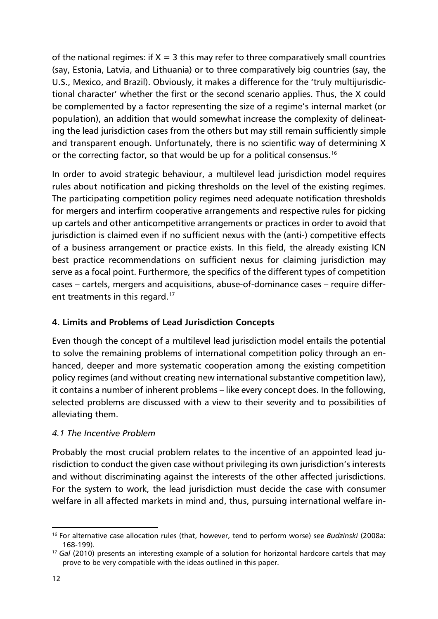of the national regimes: if  $X = 3$  this may refer to three comparatively small countries (say, Estonia, Latvia, and Lithuania) or to three comparatively big countries (say, the U.S., Mexico, and Brazil). Obviously, it makes a difference for the 'truly multijurisdictional character' whether the first or the second scenario applies. Thus, the X could be complemented by a factor representing the size of a regime's internal market (or population), an addition that would somewhat increase the complexity of delineating the lead jurisdiction cases from the others but may still remain sufficiently simple and transparent enough. Unfortunately, there is no scientific way of determining X or the correcting factor, so that would be up for a political consensus.<sup>[16](#page-12-0)</sup>

In order to avoid strategic behaviour, a multilevel lead jurisdiction model requires rules about notification and picking thresholds on the level of the existing regimes. The participating competition policy regimes need adequate notification thresholds for mergers and interfirm cooperative arrangements and respective rules for picking up cartels and other anticompetitive arrangements or practices in order to avoid that jurisdiction is claimed even if no sufficient nexus with the (anti-) competitive effects of a business arrangement or practice exists. In this field, the already existing ICN best practice recommendations on sufficient nexus for claiming jurisdiction may serve as a focal point. Furthermore, the specifics of the different types of competition cases – cartels, mergers and acquisitions, abuse-of-dominance cases – require differ-ent treatments in this regard.<sup>[17](#page-12-1)</sup>

# **4. Limits and Problems of Lead Jurisdiction Concepts**

Even though the concept of a multilevel lead jurisdiction model entails the potential to solve the remaining problems of international competition policy through an enhanced, deeper and more systematic cooperation among the existing competition policy regimes (and without creating new international substantive competition law), it contains a number of inherent problems – like every concept does. In the following, selected problems are discussed with a view to their severity and to possibilities of alleviating them.

# *4.1 The Incentive Problem*

Probably the most crucial problem relates to the incentive of an appointed lead jurisdiction to conduct the given case without privileging its own jurisdiction's interests and without discriminating against the interests of the other affected jurisdictions. For the system to work, the lead jurisdiction must decide the case with consumer welfare in all affected markets in mind and, thus, pursuing international welfare in-

<span id="page-12-0"></span><sup>16</sup> For alternative case allocation rules (that, however, tend to perform worse) see *Budzinski* (2008a: 168-199).  $\overline{a}$ 

<span id="page-12-1"></span><sup>17</sup> *Gal* (2010) presents an interesting example of a solution for horizontal hardcore cartels that may prove to be very compatible with the ideas outlined in this paper.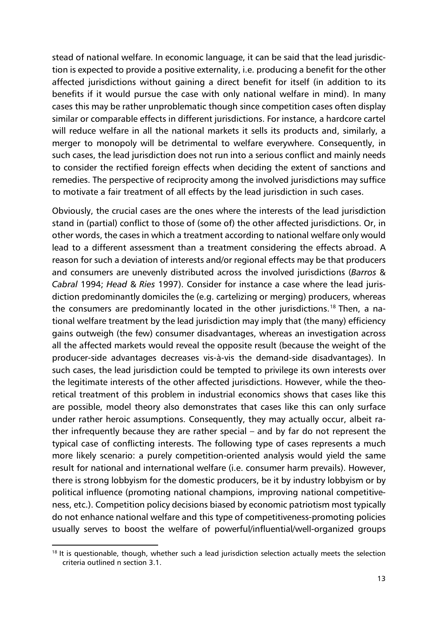stead of national welfare. In economic language, it can be said that the lead jurisdiction is expected to provide a positive externality, i.e. producing a benefit for the other affected jurisdictions without gaining a direct benefit for itself (in addition to its benefits if it would pursue the case with only national welfare in mind). In many cases this may be rather unproblematic though since competition cases often display similar or comparable effects in different jurisdictions. For instance, a hardcore cartel will reduce welfare in all the national markets it sells its products and, similarly, a merger to monopoly will be detrimental to welfare everywhere. Consequently, in such cases, the lead jurisdiction does not run into a serious conflict and mainly needs to consider the rectified foreign effects when deciding the extent of sanctions and remedies. The perspective of reciprocity among the involved jurisdictions may suffice to motivate a fair treatment of all effects by the lead jurisdiction in such cases.

Obviously, the crucial cases are the ones where the interests of the lead jurisdiction stand in (partial) conflict to those of (some of) the other affected jurisdictions. Or, in other words, the cases in which a treatment according to national welfare only would lead to a different assessment than a treatment considering the effects abroad. A reason for such a deviation of interests and/or regional effects may be that producers and consumers are unevenly distributed across the involved jurisdictions (*Barros* & *Cabral* 1994; *Head* & *Ries* 1997). Consider for instance a case where the lead jurisdiction predominantly domiciles the (e.g. cartelizing or merging) producers, whereas the consumers are predominantly located in the other jurisdictions.<sup>[18](#page-13-0)</sup> Then, a national welfare treatment by the lead jurisdiction may imply that (the many) efficiency gains outweigh (the few) consumer disadvantages, whereas an investigation across all the affected markets would reveal the opposite result (because the weight of the producer-side advantages decreases vis-à-vis the demand-side disadvantages). In such cases, the lead jurisdiction could be tempted to privilege its own interests over the legitimate interests of the other affected jurisdictions. However, while the theoretical treatment of this problem in industrial economics shows that cases like this are possible, model theory also demonstrates that cases like this can only surface under rather heroic assumptions. Consequently, they may actually occur, albeit rather infrequently because they are rather special – and by far do not represent the typical case of conflicting interests. The following type of cases represents a much more likely scenario: a purely competition-oriented analysis would yield the same result for national and international welfare (i.e. consumer harm prevails). However, there is strong lobbyism for the domestic producers, be it by industry lobbyism or by political influence (promoting national champions, improving national competitiveness, etc.). Competition policy decisions biased by economic patriotism most typically do not enhance national welfare and this type of competitiveness-promoting policies usually serves to boost the welfare of powerful/influential/well-organized groups

 $\overline{a}$ 

<span id="page-13-0"></span> $18$  It is questionable, though, whether such a lead jurisdiction selection actually meets the selection criteria outlined n section 3.1.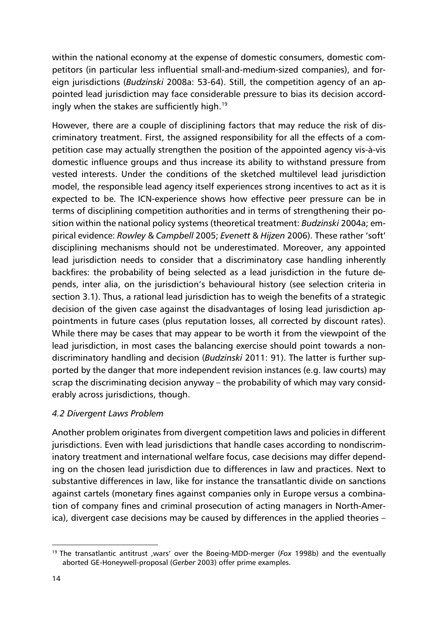within the national economy at the expense of domestic consumers, domestic competitors (in particular less influential small-and-medium-sized companies), and foreign jurisdictions (*Budzinski* 2008a: 53-64). Still, the competition agency of an appointed lead jurisdiction may face considerable pressure to bias its decision accord-ingly when the stakes are sufficiently high.<sup>[19](#page-14-0)</sup>

However, there are a couple of disciplining factors that may reduce the risk of discriminatory treatment. First, the assigned responsibility for all the effects of a competition case may actually strengthen the position of the appointed agency vis-à-vis domestic influence groups and thus increase its ability to withstand pressure from vested interests. Under the conditions of the sketched multilevel lead jurisdiction model, the responsible lead agency itself experiences strong incentives to act as it is expected to be. The ICN-experience shows how effective peer pressure can be in terms of disciplining competition authorities and in terms of strengthening their position within the national policy systems (theoretical treatment: *Budzinski* 2004a; empirical evidence: *Rowley* & *Campbell* 2005; *Evenett* & *Hijzen* 2006). These rather 'soft' disciplining mechanisms should not be underestimated. Moreover, any appointed lead jurisdiction needs to consider that a discriminatory case handling inherently backfires: the probability of being selected as a lead jurisdiction in the future depends, inter alia, on the jurisdiction's behavioural history (see selection criteria in section 3.1). Thus, a rational lead jurisdiction has to weigh the benefits of a strategic decision of the given case against the disadvantages of losing lead jurisdiction appointments in future cases (plus reputation losses, all corrected by discount rates). While there may be cases that may appear to be worth it from the viewpoint of the lead jurisdiction, in most cases the balancing exercise should point towards a nondiscriminatory handling and decision (*Budzinski* 2011: 91). The latter is further supported by the danger that more independent revision instances (e.g. law courts) may scrap the discriminating decision anyway – the probability of which may vary considerably across jurisdictions, though.

#### *4.2 Divergent Laws Problem*

Another problem originates from divergent competition laws and policies in different jurisdictions. Even with lead jurisdictions that handle cases according to nondiscriminatory treatment and international welfare focus, case decisions may differ depending on the chosen lead jurisdiction due to differences in law and practices. Next to substantive differences in law, like for instance the transatlantic divide on sanctions against cartels (monetary fines against companies only in Europe versus a combination of company fines and criminal prosecution of acting managers in North-America), divergent case decisions may be caused by differences in the applied theories –

<span id="page-14-0"></span><sup>&</sup>lt;sup>19</sup> The transatlantic antitrust ,wars' over the Boeing-MDD-merger (*Fox* 1998b) and the eventually aborted GE-Honeywell-proposal (*Gerber* 2003) offer prime examples.  $\overline{a}$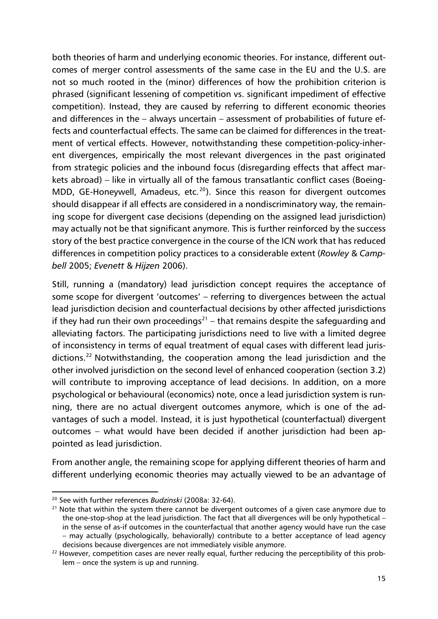both theories of harm and underlying economic theories. For instance, different outcomes of merger control assessments of the same case in the EU and the U.S. are not so much rooted in the (minor) differences of how the prohibition criterion is phrased (significant lessening of competition vs. significant impediment of effective competition). Instead, they are caused by referring to different economic theories and differences in the – always uncertain – assessment of probabilities of future effects and counterfactual effects. The same can be claimed for differences in the treatment of vertical effects. However, notwithstanding these competition-policy-inherent divergences, empirically the most relevant divergences in the past originated from strategic policies and the inbound focus (disregarding effects that affect markets abroad) – like in virtually all of the famous transatlantic conflict cases (Boeing-MDD, GE-Honeywell, Amadeus, etc.<sup>[20](#page-15-0)</sup>). Since this reason for divergent outcomes should disappear if all effects are considered in a nondiscriminatory way, the remaining scope for divergent case decisions (depending on the assigned lead jurisdiction) may actually not be that significant anymore. This is further reinforced by the success story of the best practice convergence in the course of the ICN work that has reduced differences in competition policy practices to a considerable extent (*Rowley* & *Campbell* 2005; *Evenett* & *Hijzen* 2006).

Still, running a (mandatory) lead jurisdiction concept requires the acceptance of some scope for divergent 'outcomes' – referring to divergences between the actual lead jurisdiction decision and counterfactual decisions by other affected jurisdictions if they had run their own proceedings<sup>[21](#page-15-1)</sup> – that remains despite the safeguarding and alleviating factors. The participating jurisdictions need to live with a limited degree of inconsistency in terms of equal treatment of equal cases with different lead jurisdictions.[22](#page-15-2) Notwithstanding, the cooperation among the lead jurisdiction and the other involved jurisdiction on the second level of enhanced cooperation (section 3.2) will contribute to improving acceptance of lead decisions. In addition, on a more psychological or behavioural (economics) note, once a lead jurisdiction system is running, there are no actual divergent outcomes anymore, which is one of the advantages of such a model. Instead, it is just hypothetical (counterfactual) divergent outcomes – what would have been decided if another jurisdiction had been appointed as lead jurisdiction.

From another angle, the remaining scope for applying different theories of harm and different underlying economic theories may actually viewed to be an advantage of

 $\overline{a}$ 

<span id="page-15-0"></span><sup>20</sup> See with further references *Budzinski* (2008a: 32-64).

<span id="page-15-1"></span> $21$  Note that within the system there cannot be divergent outcomes of a given case anymore due to the one-stop-shop at the lead jurisdiction. The fact that all divergences will be only hypothetical – in the sense of as-if outcomes in the counterfactual that another agency would have run the case – may actually (psychologically, behaviorally) contribute to a better acceptance of lead agency decisions because divergences are not immediately visible anymore.

<span id="page-15-2"></span> $22$  However, competition cases are never really equal, further reducing the perceptibility of this problem – once the system is up and running.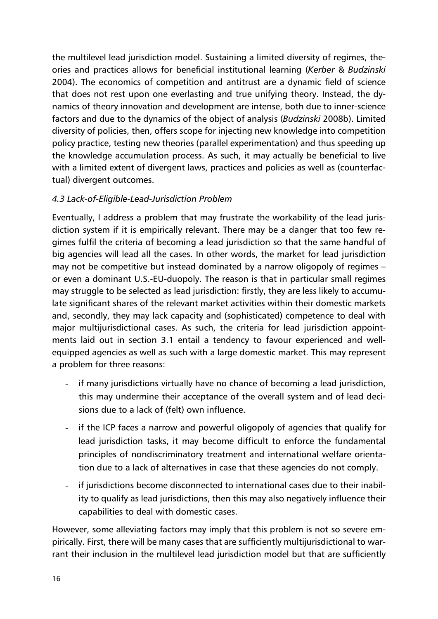the multilevel lead jurisdiction model. Sustaining a limited diversity of regimes, theories and practices allows for beneficial institutional learning (*Kerber* & *Budzinski* 2004). The economics of competition and antitrust are a dynamic field of science that does not rest upon one everlasting and true unifying theory. Instead, the dynamics of theory innovation and development are intense, both due to inner-science factors and due to the dynamics of the object of analysis (*Budzinski* 2008b). Limited diversity of policies, then, offers scope for injecting new knowledge into competition policy practice, testing new theories (parallel experimentation) and thus speeding up the knowledge accumulation process. As such, it may actually be beneficial to live with a limited extent of divergent laws, practices and policies as well as (counterfactual) divergent outcomes.

#### *4.3 Lack-of-Eligible-Lead-Jurisdiction Problem*

Eventually, I address a problem that may frustrate the workability of the lead jurisdiction system if it is empirically relevant. There may be a danger that too few regimes fulfil the criteria of becoming a lead jurisdiction so that the same handful of big agencies will lead all the cases. In other words, the market for lead jurisdiction may not be competitive but instead dominated by a narrow oligopoly of regimes – or even a dominant U.S.-EU-duopoly. The reason is that in particular small regimes may struggle to be selected as lead jurisdiction: firstly, they are less likely to accumulate significant shares of the relevant market activities within their domestic markets and, secondly, they may lack capacity and (sophisticated) competence to deal with major multijurisdictional cases. As such, the criteria for lead jurisdiction appointments laid out in section 3.1 entail a tendency to favour experienced and wellequipped agencies as well as such with a large domestic market. This may represent a problem for three reasons:

- if many jurisdictions virtually have no chance of becoming a lead jurisdiction, this may undermine their acceptance of the overall system and of lead decisions due to a lack of (felt) own influence.
- if the ICP faces a narrow and powerful oligopoly of agencies that qualify for lead jurisdiction tasks, it may become difficult to enforce the fundamental principles of nondiscriminatory treatment and international welfare orientation due to a lack of alternatives in case that these agencies do not comply.
- if jurisdictions become disconnected to international cases due to their inability to qualify as lead jurisdictions, then this may also negatively influence their capabilities to deal with domestic cases.

However, some alleviating factors may imply that this problem is not so severe empirically. First, there will be many cases that are sufficiently multijurisdictional to warrant their inclusion in the multilevel lead jurisdiction model but that are sufficiently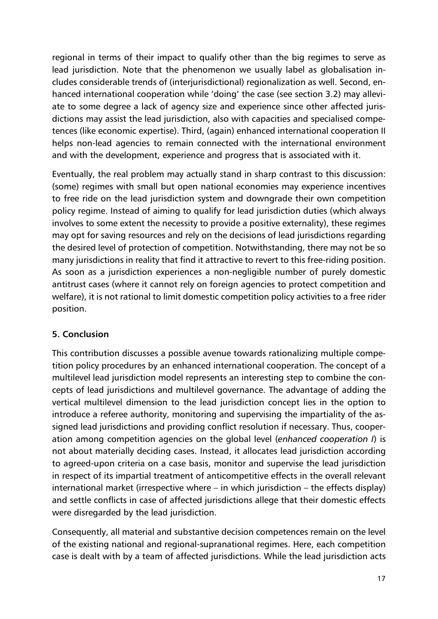regional in terms of their impact to qualify other than the big regimes to serve as lead jurisdiction. Note that the phenomenon we usually label as globalisation includes considerable trends of (interjurisdictional) regionalization as well. Second, enhanced international cooperation while 'doing' the case (see section 3.2) may alleviate to some degree a lack of agency size and experience since other affected jurisdictions may assist the lead jurisdiction, also with capacities and specialised competences (like economic expertise). Third, (again) enhanced international cooperation II helps non-lead agencies to remain connected with the international environment and with the development, experience and progress that is associated with it.

Eventually, the real problem may actually stand in sharp contrast to this discussion: (some) regimes with small but open national economies may experience incentives to free ride on the lead jurisdiction system and downgrade their own competition policy regime. Instead of aiming to qualify for lead jurisdiction duties (which always involves to some extent the necessity to provide a positive externality), these regimes may opt for saving resources and rely on the decisions of lead jurisdictions regarding the desired level of protection of competition. Notwithstanding, there may not be so many jurisdictions in reality that find it attractive to revert to this free-riding position. As soon as a jurisdiction experiences a non-negligible number of purely domestic antitrust cases (where it cannot rely on foreign agencies to protect competition and welfare), it is not rational to limit domestic competition policy activities to a free rider position.

# **5. Conclusion**

This contribution discusses a possible avenue towards rationalizing multiple competition policy procedures by an enhanced international cooperation. The concept of a multilevel lead jurisdiction model represents an interesting step to combine the concepts of lead jurisdictions and multilevel governance. The advantage of adding the vertical multilevel dimension to the lead jurisdiction concept lies in the option to introduce a referee authority, monitoring and supervising the impartiality of the assigned lead jurisdictions and providing conflict resolution if necessary. Thus, cooperation among competition agencies on the global level (*enhanced cooperation I*) is not about materially deciding cases. Instead, it allocates lead jurisdiction according to agreed-upon criteria on a case basis, monitor and supervise the lead jurisdiction in respect of its impartial treatment of anticompetitive effects in the overall relevant international market (irrespective where – in which jurisdiction – the effects display) and settle conflicts in case of affected jurisdictions allege that their domestic effects were disregarded by the lead jurisdiction.

Consequently, all material and substantive decision competences remain on the level of the existing national and regional-supranational regimes. Here, each competition case is dealt with by a team of affected jurisdictions. While the lead jurisdiction acts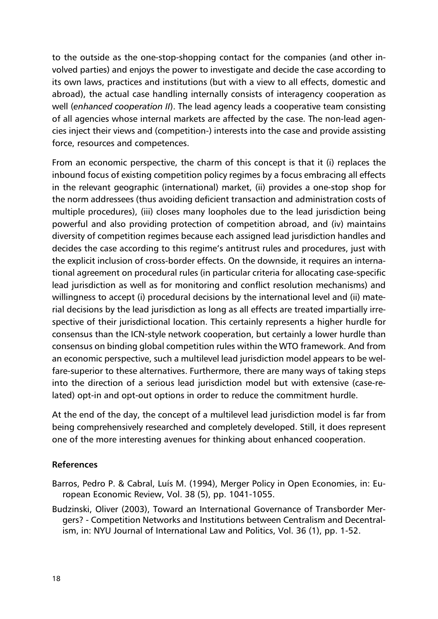to the outside as the one-stop-shopping contact for the companies (and other involved parties) and enjoys the power to investigate and decide the case according to its own laws, practices and institutions (but with a view to all effects, domestic and abroad), the actual case handling internally consists of interagency cooperation as well (*enhanced cooperation II*). The lead agency leads a cooperative team consisting of all agencies whose internal markets are affected by the case. The non-lead agencies inject their views and (competition-) interests into the case and provide assisting force, resources and competences.

From an economic perspective, the charm of this concept is that it (i) replaces the inbound focus of existing competition policy regimes by a focus embracing all effects in the relevant geographic (international) market, (ii) provides a one-stop shop for the norm addressees (thus avoiding deficient transaction and administration costs of multiple procedures), (iii) closes many loopholes due to the lead jurisdiction being powerful and also providing protection of competition abroad, and (iv) maintains diversity of competition regimes because each assigned lead jurisdiction handles and decides the case according to this regime's antitrust rules and procedures, just with the explicit inclusion of cross-border effects. On the downside, it requires an international agreement on procedural rules (in particular criteria for allocating case-specific lead jurisdiction as well as for monitoring and conflict resolution mechanisms) and willingness to accept (i) procedural decisions by the international level and (ii) material decisions by the lead jurisdiction as long as all effects are treated impartially irrespective of their jurisdictional location. This certainly represents a higher hurdle for consensus than the ICN-style network cooperation, but certainly a lower hurdle than consensus on binding global competition rules within the WTO framework. And from an economic perspective, such a multilevel lead jurisdiction model appears to be welfare-superior to these alternatives. Furthermore, there are many ways of taking steps into the direction of a serious lead jurisdiction model but with extensive (case-related) opt-in and opt-out options in order to reduce the commitment hurdle.

At the end of the day, the concept of a multilevel lead jurisdiction model is far from being comprehensively researched and completely developed. Still, it does represent one of the more interesting avenues for thinking about enhanced cooperation.

#### **References**

- Barros, Pedro P. & Cabral, Luís M. (1994), Merger Policy in Open Economies, in: European Economic Review, Vol. 38 (5), pp. 1041-1055.
- Budzinski, Oliver (2003), Toward an International Governance of Transborder Mergers? - Competition Networks and Institutions between Centralism and Decentralism, in: NYU Journal of International Law and Politics, Vol. 36 (1), pp. 1-52.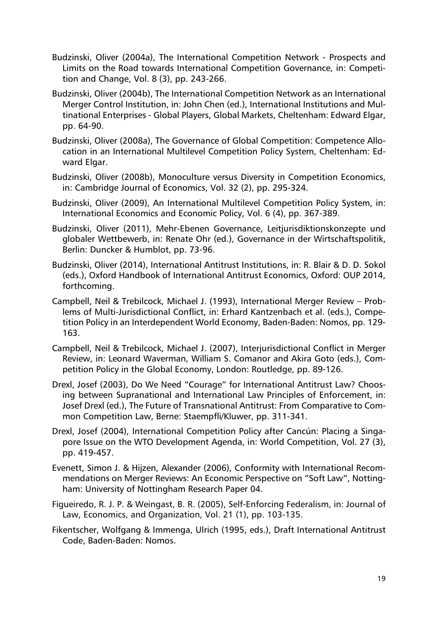- Budzinski, Oliver (2004a), The International Competition Network Prospects and Limits on the Road towards International Competition Governance, in: Competition and Change, Vol. 8 (3), pp. 243-266.
- Budzinski, Oliver (2004b), The International Competition Network as an International Merger Control Institution, in: John Chen (ed.), International Institutions and Multinational Enterprises - Global Players, Global Markets, Cheltenham: Edward Elgar, pp. 64-90.
- Budzinski, Oliver (2008a), The Governance of Global Competition: Competence Allocation in an International Multilevel Competition Policy System, Cheltenham: Edward Elgar.
- Budzinski, Oliver (2008b), Monoculture versus Diversity in Competition Economics, in: Cambridge Journal of Economics, Vol. 32 (2), pp. 295-324.
- Budzinski, Oliver (2009), An International Multilevel Competition Policy System, in: International Economics and Economic Policy, Vol. 6 (4), pp. 367-389.
- Budzinski, Oliver (2011), Mehr-Ebenen Governance, Leitjurisdiktionskonzepte und globaler Wettbewerb, in: Renate Ohr (ed.), Governance in der Wirtschaftspolitik, Berlin: Duncker & Humblot, pp. 73-96.
- Budzinski, Oliver (2014), International Antitrust Institutions, in: R. Blair & D. D. Sokol (eds.), Oxford Handbook of International Antitrust Economics, Oxford: OUP 2014, forthcoming.
- Campbell, Neil & Trebilcock, Michael J. (1993), International Merger Review Problems of Multi-Jurisdictional Conflict, in: Erhard Kantzenbach et al. (eds.), Competition Policy in an Interdependent World Economy, Baden-Baden: Nomos, pp. 129- 163.
- Campbell, Neil & Trebilcock, Michael J. (2007), Interjurisdictional Conflict in Merger Review, in: Leonard Waverman, William S. Comanor and Akira Goto (eds.), Competition Policy in the Global Economy, London: Routledge, pp. 89-126.
- Drexl, Josef (2003), Do We Need "Courage" for International Antitrust Law? Choosing between Supranational and International Law Principles of Enforcement, in: Josef Drexl (ed.), The Future of Transnational Antitrust: From Comparative to Common Competition Law, Berne: Staempfli/Kluwer, pp. 311-341.
- Drexl, Josef (2004), International Competition Policy after Cancún: Placing a Singapore Issue on the WTO Development Agenda, in: World Competition, Vol. 27 (3), pp. 419-457.
- Evenett, Simon J. & Hijzen, Alexander (2006), Conformity with International Recommendations on Merger Reviews: An Economic Perspective on "Soft Law", Nottingham: University of Nottingham Research Paper 04.
- Figueiredo, R. J. P. & Weingast, B. R. (2005), Self-Enforcing Federalism, in: Journal of Law, Economics, and Organization, Vol. 21 (1), pp. 103-135.
- Fikentscher, Wolfgang & Immenga, Ulrich (1995, eds.), Draft International Antitrust Code, Baden-Baden: Nomos.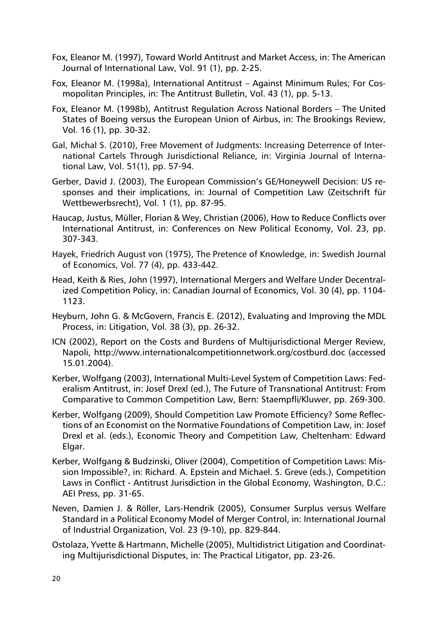- Fox, Eleanor M. (1997), Toward World Antitrust and Market Access, in: The American Journal of International Law, Vol. 91 (1), pp. 2-25.
- Fox, Eleanor M. (1998a), International Antitrust Against Minimum Rules; For Cosmopolitan Principles, in: The Antitrust Bulletin, Vol. 43 (1), pp. 5-13.
- Fox, Eleanor M. (1998b), Antitrust Regulation Across National Borders The United States of Boeing versus the European Union of Airbus, in: The Brookings Review, Vol. 16 (1), pp. 30-32.
- Gal, Michal S. (2010), Free Movement of Judgments: Increasing Deterrence of International Cartels Through Jurisdictional Reliance, in: Virginia Journal of International Law, Vol. 51(1), pp. 57-94.
- Gerber, David J. (2003), The European Commission's GE/Honeywell Decision: US responses and their implications, in: Journal of Competition Law (Zeitschrift für Wettbewerbsrecht), Vol. 1 (1), pp. 87-95.
- Haucap, Justus, Müller, Florian & Wey, Christian (2006), How to Reduce Conflicts over International Antitrust, in: Conferences on New Political Economy, Vol. 23, pp. 307-343.
- Hayek, Friedrich August von (1975), The Pretence of Knowledge, in: Swedish Journal of Economics, Vol. 77 (4), pp. 433-442.
- Head, Keith & Ries, John (1997), International Mergers and Welfare Under Decentralized Competition Policy, in: Canadian Journal of Economics, Vol. 30 (4), pp. 1104- 1123.
- Heyburn, John G. & McGovern, Francis E. (2012), Evaluating and Improving the MDL Process, in: Litigation, Vol. 38 (3), pp. 26-32.
- ICN (2002), Report on the Costs and Burdens of Multijurisdictional Merger Review, Napoli, http://www.internationalcompetitionnetwork.org/costburd.doc (accessed 15.01.2004).
- Kerber, Wolfgang (2003), International Multi-Level System of Competition Laws: Federalism Antitrust, in: Josef Drexl (ed.), The Future of Transnational Antitrust: From Comparative to Common Competition Law, Bern: Staempfli/Kluwer, pp. 269-300.
- Kerber, Wolfgang (2009), Should Competition Law Promote Efficiency? Some Reflections of an Economist on the Normative Foundations of Competition Law, in: Josef Drexl et al. (eds.), Economic Theory and Competition Law, Cheltenham: Edward Elgar.
- Kerber, Wolfgang & Budzinski, Oliver (2004), Competition of Competition Laws: Mission Impossible?, in: Richard. A. Epstein and Michael. S. Greve (eds.), Competition Laws in Conflict - Antitrust Jurisdiction in the Global Economy, Washington, D.C.: AEI Press, pp. 31-65.
- Neven, Damien J. & Röller, Lars-Hendrik (2005), Consumer Surplus versus Welfare Standard in a Political Economy Model of Merger Control, in: International Journal of Industrial Organization, Vol. 23 (9-10), pp. 829-844.
- Ostolaza, Yvette & Hartmann, Michelle (2005), Multidistrict Litigation and Coordinating Multijurisdictional Disputes, in: The Practical Litigator, pp. 23-26.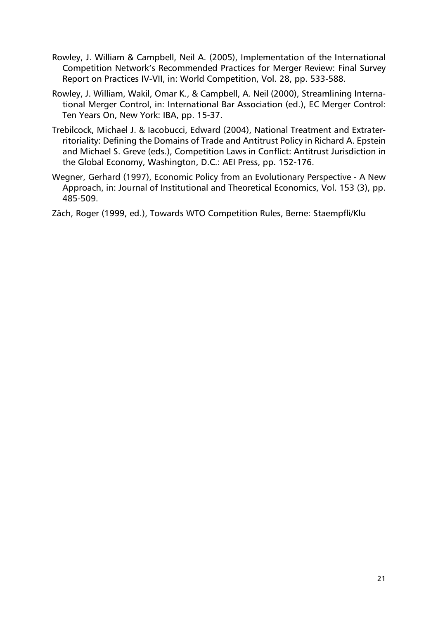- Rowley, J. William & Campbell, Neil A. (2005), Implementation of the International Competition Network's Recommended Practices for Merger Review: Final Survey Report on Practices IV-VII, in: World Competition, Vol. 28, pp. 533-588.
- Rowley, J. William, Wakil, Omar K., & Campbell, A. Neil (2000), Streamlining International Merger Control, in: International Bar Association (ed.), EC Merger Control: Ten Years On, New York: IBA, pp. 15-37.
- Trebilcock, Michael J. & Iacobucci, Edward (2004), National Treatment and Extraterritoriality: Defining the Domains of Trade and Antitrust Policy in Richard A. Epstein and Michael S. Greve (eds.), Competition Laws in Conflict: Antitrust Jurisdiction in the Global Economy, Washington, D.C.: AEI Press, pp. 152-176.
- Wegner, Gerhard (1997), Economic Policy from an Evolutionary Perspective A New Approach, in: Journal of Institutional and Theoretical Economics, Vol. 153 (3), pp. 485-509.

Zäch, Roger (1999, ed.), Towards WTO Competition Rules, Berne: Staempfli/Klu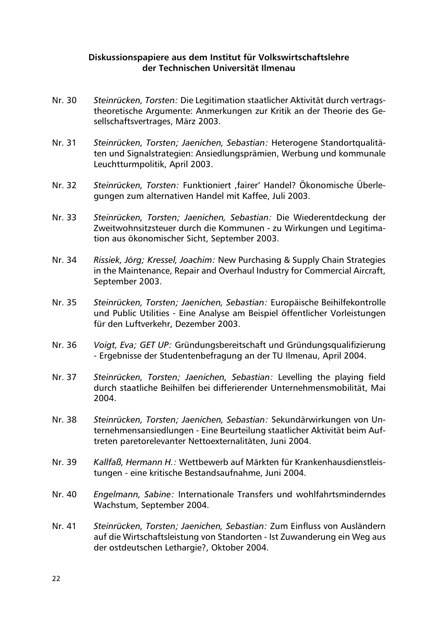#### **Diskussionspapiere aus dem Institut für Volkswirtschaftslehre der Technischen Universität Ilmenau**

- Nr. 30 *Steinrücken, Torsten:* Die Legitimation staatlicher Aktivität durch vertragstheoretische Argumente: Anmerkungen zur Kritik an der Theorie des Gesellschaftsvertrages, März 2003.
- Nr. 31 *Steinrücken, Torsten; Jaenichen, Sebastian:* Heterogene Standortqualitäten und Signalstrategien: Ansiedlungsprämien, Werbung und kommunale Leuchtturmpolitik, April 2003.
- Nr. 32 *Steinrücken, Torsten:* Funktioniert ,fairer' Handel? Ökonomische Überlegungen zum alternativen Handel mit Kaffee, Juli 2003.
- Nr. 33 *Steinrücken, Torsten; Jaenichen, Sebastian:* Die Wiederentdeckung der Zweitwohnsitzsteuer durch die Kommunen - zu Wirkungen und Legitimation aus ökonomischer Sicht, September 2003.
- Nr. 34 *Rissiek, Jörg; Kressel, Joachim:* New Purchasing & Supply Chain Strategies in the Maintenance, Repair and Overhaul Industry for Commercial Aircraft, September 2003.
- Nr. 35 *Steinrücken, Torsten; Jaenichen, Sebastian:* Europäische Beihilfekontrolle und Public Utilities - Eine Analyse am Beispiel öffentlicher Vorleistungen für den Luftverkehr, Dezember 2003.
- Nr. 36 *Voigt, Eva; GET UP:* Gründungsbereitschaft und Gründungsqualifizierung - Ergebnisse der Studentenbefragung an der TU Ilmenau, April 2004.
- Nr. 37 *Steinrücken, Torsten; Jaenichen, Sebastian:* Levelling the playing field durch staatliche Beihilfen bei differierender Unternehmensmobilität, Mai 2004.
- Nr. 38 *Steinrücken, Torsten; Jaenichen, Sebastian:* Sekundärwirkungen von Unternehmensansiedlungen - Eine Beurteilung staatlicher Aktivität beim Auftreten paretorelevanter Nettoexternalitäten, Juni 2004.
- Nr. 39 *Kallfaß, Hermann H.:* Wettbewerb auf Märkten für Krankenhausdienstleistungen - eine kritische Bestandsaufnahme, Juni 2004.
- Nr. 40 *Engelmann, Sabine:* Internationale Transfers und wohlfahrtsminderndes Wachstum, September 2004.
- Nr. 41 *Steinrücken, Torsten; Jaenichen, Sebastian:* Zum Einfluss von Ausländern auf die Wirtschaftsleistung von Standorten - Ist Zuwanderung ein Weg aus der ostdeutschen Lethargie?, Oktober 2004.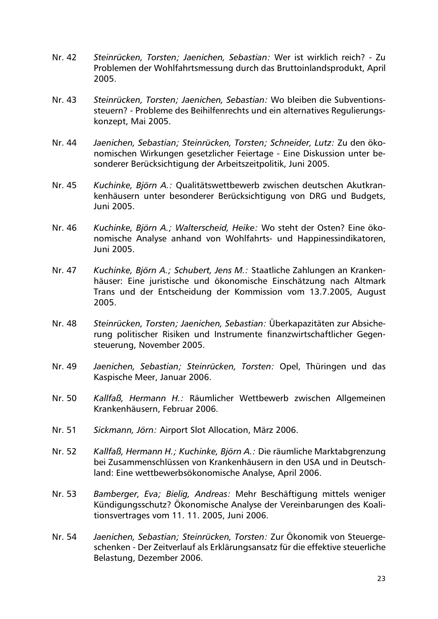- Nr. 42 *Steinrücken, Torsten; Jaenichen, Sebastian:* Wer ist wirklich reich? Zu Problemen der Wohlfahrtsmessung durch das Bruttoinlandsprodukt, April 2005.
- Nr. 43 *Steinrücken, Torsten; Jaenichen, Sebastian:* Wo bleiben die Subventionssteuern? - Probleme des Beihilfenrechts und ein alternatives Regulierungskonzept, Mai 2005.
- Nr. 44 *Jaenichen, Sebastian; Steinrücken, Torsten; Schneider, Lutz:* Zu den ökonomischen Wirkungen gesetzlicher Feiertage - Eine Diskussion unter besonderer Berücksichtigung der Arbeitszeitpolitik, Juni 2005.
- Nr. 45 *Kuchinke, Björn A.:* Qualitätswettbewerb zwischen deutschen Akutkrankenhäusern unter besonderer Berücksichtigung von DRG und Budgets, Juni 2005.
- Nr. 46 *Kuchinke, Björn A.; Walterscheid, Heike:* Wo steht der Osten? Eine ökonomische Analyse anhand von Wohlfahrts- und Happinessindikatoren, Juni 2005.
- Nr. 47 *Kuchinke, Björn A.; Schubert, Jens M.:* Staatliche Zahlungen an Krankenhäuser: Eine juristische und ökonomische Einschätzung nach Altmark Trans und der Entscheidung der Kommission vom 13.7.2005, August 2005.
- Nr. 48 *Steinrücken, Torsten; Jaenichen, Sebastian:* Überkapazitäten zur Absicherung politischer Risiken und Instrumente finanzwirtschaftlicher Gegensteuerung, November 2005.
- Nr. 49 *Jaenichen, Sebastian; Steinrücken, Torsten:* Opel, Thüringen und das Kaspische Meer, Januar 2006.
- Nr. 50 *Kallfaß, Hermann H.:* Räumlicher Wettbewerb zwischen Allgemeinen Krankenhäusern, Februar 2006.
- Nr. 51 *Sickmann, Jörn:* Airport Slot Allocation, März 2006.
- Nr. 52 *Kallfaß, Hermann H.; Kuchinke, Björn A.:* Die räumliche Marktabgrenzung bei Zusammenschlüssen von Krankenhäusern in den USA und in Deutschland: Eine wettbewerbsökonomische Analyse, April 2006.
- Nr. 53 *Bamberger, Eva; Bielig, Andreas:* Mehr Beschäftigung mittels weniger Kündigungsschutz? Ökonomische Analyse der Vereinbarungen des Koalitionsvertrages vom 11. 11. 2005, Juni 2006.
- Nr. 54 *Jaenichen, Sebastian; Steinrücken, Torsten:* Zur Ökonomik von Steuergeschenken - Der Zeitverlauf als Erklärungsansatz für die effektive steuerliche Belastung, Dezember 2006.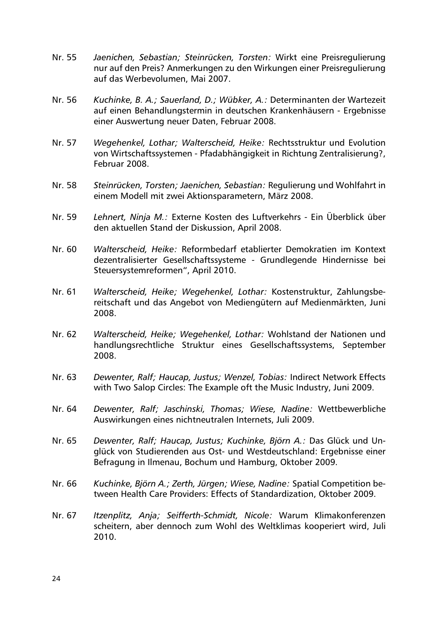- Nr. 55 *Jaenichen, Sebastian; Steinrücken, Torsten:* Wirkt eine Preisregulierung nur auf den Preis? Anmerkungen zu den Wirkungen einer Preisregulierung auf das Werbevolumen, Mai 2007.
- Nr. 56 *Kuchinke, B. A.; Sauerland, D.; Wübker, A.:* Determinanten der Wartezeit auf einen Behandlungstermin in deutschen Krankenhäusern - Ergebnisse einer Auswertung neuer Daten, Februar 2008.
- Nr. 57 *Wegehenkel, Lothar; Walterscheid, Heike:* Rechtsstruktur und Evolution von Wirtschaftssystemen - Pfadabhängigkeit in Richtung Zentralisierung?, Februar 2008.
- Nr. 58 *Steinrücken, Torsten; Jaenichen, Sebastian:* Regulierung und Wohlfahrt in einem Modell mit zwei Aktionsparametern, März 2008.
- Nr. 59 *Lehnert, Ninja M.:* Externe Kosten des Luftverkehrs Ein Überblick über den aktuellen Stand der Diskussion, April 2008.
- Nr. 60 *Walterscheid, Heike:* Reformbedarf etablierter Demokratien im Kontext dezentralisierter Gesellschaftssysteme - Grundlegende Hindernisse bei Steuersystemreformen", April 2010.
- Nr. 61 *Walterscheid, Heike; Wegehenkel, Lothar:* Kostenstruktur, Zahlungsbereitschaft und das Angebot von Mediengütern auf Medienmärkten, Juni 2008.
- Nr. 62 *Walterscheid, Heike; Wegehenkel, Lothar:* Wohlstand der Nationen und handlungsrechtliche Struktur eines Gesellschaftssystems, September 2008.
- Nr. 63 *Dewenter, Ralf; Haucap, Justus; Wenzel, Tobias:* Indirect Network Effects with Two Salop Circles: The Example oft the Music Industry, Juni 2009.
- Nr. 64 *Dewenter, Ralf; Jaschinski, Thomas; Wiese, Nadine:* Wettbewerbliche Auswirkungen eines nichtneutralen Internets, Juli 2009.
- Nr. 65 *Dewenter, Ralf; Haucap, Justus; Kuchinke, Björn A.:* Das Glück und Unglück von Studierenden aus Ost- und Westdeutschland: Ergebnisse einer Befragung in Ilmenau, Bochum und Hamburg, Oktober 2009.
- Nr. 66 *Kuchinke, Björn A.; Zerth, Jürgen; Wiese, Nadine:* Spatial Competition between Health Care Providers: Effects of Standardization, Oktober 2009.
- Nr. 67 *Itzenplitz, Anja; Seifferth-Schmidt, Nicole:* Warum Klimakonferenzen scheitern, aber dennoch zum Wohl des Weltklimas kooperiert wird, Juli 2010.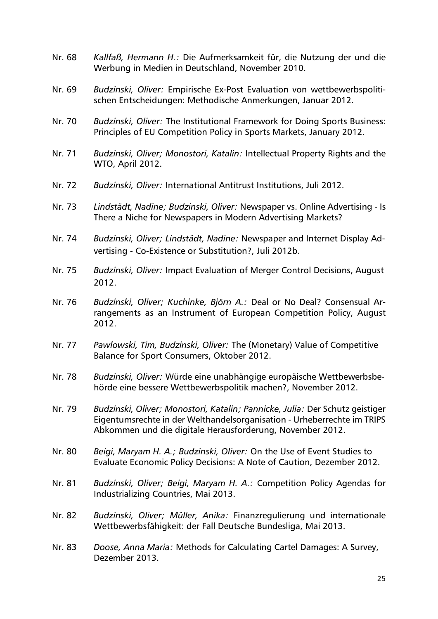- Nr. 68 *Kallfaß, Hermann H.:* Die Aufmerksamkeit für, die Nutzung der und die Werbung in Medien in Deutschland, November 2010.
- Nr. 69 *Budzinski, Oliver:* Empirische Ex-Post Evaluation von wettbewerbspolitischen Entscheidungen: Methodische Anmerkungen, Januar 2012.
- Nr. 70 *Budzinski, Oliver:* The Institutional Framework for Doing Sports Business: Principles of EU Competition Policy in Sports Markets, January 2012.
- Nr. 71 *Budzinski, Oliver; Monostori, Katalin:* Intellectual Property Rights and the WTO, April 2012.
- Nr. 72 *Budzinski, Oliver:* International Antitrust Institutions, Juli 2012.
- Nr. 73 *Lindstädt, Nadine; Budzinski, Oliver:* Newspaper vs. Online Advertising Is There a Niche for Newspapers in Modern Advertising Markets?
- Nr. 74 *Budzinski, Oliver; Lindstädt, Nadine:* Newspaper and Internet Display Advertising - Co-Existence or Substitution?, Juli 2012b.
- Nr. 75 *Budzinski, Oliver:* Impact Evaluation of Merger Control Decisions, August 2012.
- Nr. 76 *Budzinski, Oliver; Kuchinke, Björn A.:* Deal or No Deal? Consensual Arrangements as an Instrument of European Competition Policy, August 2012.
- Nr. 77 *Pawlowski, Tim, Budzinski, Oliver:* The (Monetary) Value of Competitive Balance for Sport Consumers, Oktober 2012.
- Nr. 78 *Budzinski, Oliver:* Würde eine unabhängige europäische Wettbewerbsbehörde eine bessere Wettbewerbspolitik machen?, November 2012.
- Nr. 79 *Budzinski, Oliver; Monostori, Katalin; Pannicke, Julia:* Der Schutz geistiger Eigentumsrechte in der Welthandelsorganisation - Urheberrechte im TRIPS Abkommen und die digitale Herausforderung, November 2012.
- Nr. 80 *Beigi, Maryam H. A.; Budzinski, Oliver:* On the Use of Event Studies to Evaluate Economic Policy Decisions: A Note of Caution, Dezember 2012.
- Nr. 81 *Budzinski, Oliver; Beigi, Maryam H. A.:* Competition Policy Agendas for Industrializing Countries, Mai 2013.
- Nr. 82 *Budzinski, Oliver; Müller, Anika:* Finanzregulierung und internationale Wettbewerbsfähigkeit: der Fall Deutsche Bundesliga, Mai 2013.
- Nr. 83 *Doose, Anna Maria:* Methods for Calculating Cartel Damages: A Survey, Dezember 2013.